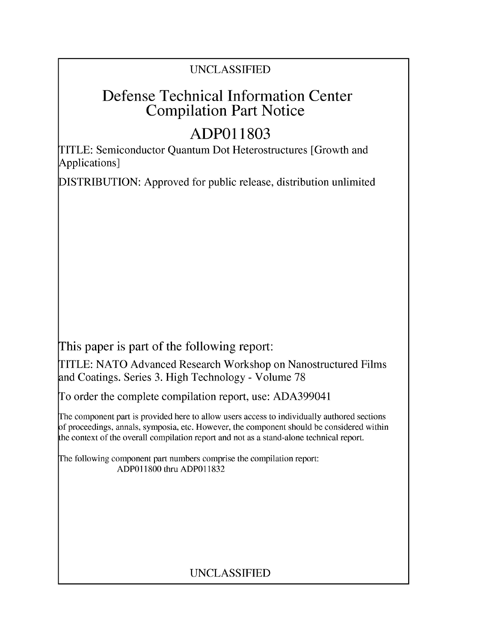# UNCLASSIFIED

# Defense Technical Information Center Compilation Part Notice

# **ADPO 11803**

TITLE: Semiconductor Quantum Dot Heterostructures [Growth and Applications]

DISTRIBUTION: Approved for public release, distribution unlimited

This paper is part of the following report:

TITLE: NATO Advanced Research Workshop on Nanostructured Films and Coatings. Series 3. High Technology - Volume 78

To order the complete compilation report, use: ADA399041

The component part is provided here to allow users access to individually authored sections f proceedings, annals, symposia, etc. However, the component should be considered within [he context of the overall compilation report and not as a stand-alone technical report.

The following component part numbers comprise the compilation report: ADPO11800 thru ADP011832

# UNCLASSIFIED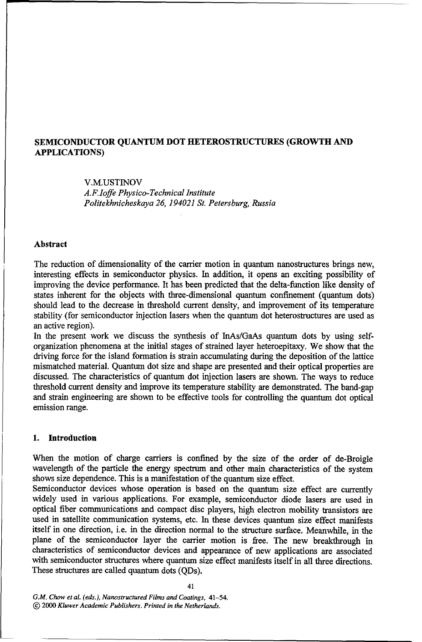# **SEMICONDUCTOR QUANTUM** DOT HETEROSTRUCTURES (GROWTH **AND APPLICATIONS)**

V.M.USTINOV *A.F.Ioffe Physico-Technical Institute Politekhnicheskaya 26, 194021 St. Petersburg, Russia*

#### Abstract

The reduction of dimensionality of the carrier motion in quantum nanostructures brings new, interesting effects in semiconductor physics. In addition, it opens an exciting possibility of improving the device performance. It has been predicted that the delta-function like density of states inherent for the objects with three-dimensional quantum confinement (quantum dots) should lead to the decrease in threshold current density, and improvement of its temperature stability (for semiconductor injection lasers when the quantum dot heterostructures are used as an active region).

In the present work we discuss the synthesis of InAs/GaAs quantum dots by using selforganization phenomena at the initial stages of strained layer heteroepitaxy. We show that the driving force for the island formation is strain accumulating during the deposition of the lattice mismatched material. Quantum dot size and shape are presented and their optical properties are discussed. The characteristics of quantum dot injection lasers are shown. The ways to reduce threshold current density and improve its temperature stability are demonstrated. The band-gap and strain engineering are shown to be effective tools for controlling the quantum dot optical emission range.

#### 1. Introduction

When the motion of charge carriers is confined by the size of the order of de-Broigle wavelength of the particle the energy spectrum and other main characteristics of the system shows size dependence. This is a manifestation of the quantum size effect.

Semiconductor devices whose operation is based on the quantum size effect are currently widely used in various applications. For example, semiconductor diode lasers are used in optical fiber communications and compact disc players, high electron mobility transistors are used in satellite communication systems, etc. In these devices quantum size effect manifests itself in one direction, i.e. in the direction normal to the structure surface. Meanwhile, in the plane of the semiconductor layer the carrier motion is free. The new breakthrough in characteristics of semiconductor devices and appearance of new applications are associated with semiconductor structures where quantum size effect manifests itself in all three directions. These structures are called quantum dots (QDs).

41 *G.M. Chow et al. (eds.), Nanostructured Films and Coatings,* 41-54.

**<sup>©</sup>** 2000 *Kluwer Academic Publishers. Printed in the Netherlands.*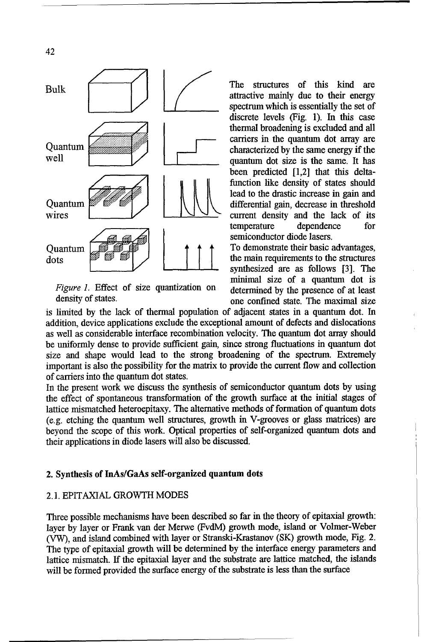42



*Figure 1.* Effect of size quantization on determined by the presence of at least

spectrum which is essentially the set of discrete levels (Fig. 1). In this case thermal broadening is excluded and all carriers in the quantum dot array are been predicted [1,21 that this deltafunction like density of states should lead to the drastic increase in gain and temperature dependence for semiconductor diode lasers.

synthesized are as follows [3]. The minimal size of a quantum dot is density of states. one confined state. The maximal size

is limited by the lack of thermal population of adjacent states in a quantum dot. In addition, device applications exclude the exceptional amount of defects and dislocations as well as considerable interface recombination velocity. The quantum dot array should be uniformly dense to provide sufficient gain, since strong fluctuations in quantum dot size and shape would lead to the strong broadening of the spectrum. Extremely important is also the possibility for the matrix to provide the current flow and collection of carriers into the quantum dot states.

In the present work we discuss the synthesis of semiconductor quantum dots by using the effect of spontaneous transformation of the growth surface at the initial stages of lattice mismatched heteroepitaxy. The alternative methods of formation of quantum dots (e.g. etching the quantum well structures, growth in V-grooves or glass matrices) are beyond the scope of this work. Optical properties of self-organized quantum dots and their applications in diode lasers will also be discussed.

# 2. Synthesis of InAs/GaAs self-organized quantum dots

# 2.1. EPITAXIAL GROWTH MODES

Three possible mechanisms have been described so far in the theory of epitaxial growth: layer by layer or Frank van der Merwe (FvdM) growth mode, island or Volmer-Weber (VW), and island combined with layer or Stranski-Krastanov (SK) growth mode, Fig. 2. The type of epitaxial growth will be determined by the interface energy parameters and lattice mismatch. If the epitaxial layer and the substrate are lattice matched, the islands will be formed provided the surface energy of the substrate is less than the surface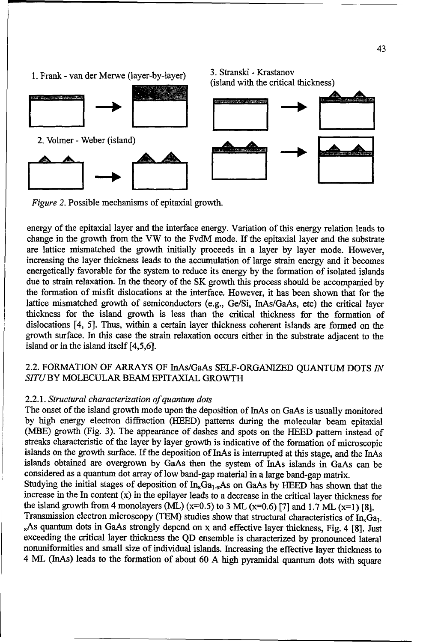

*Figure 2.* Possible mechanisms of epitaxial growth.

energy of the epitaxial layer and the interface energy. Variation of this energy relation leads to change in the growth from the VW to the FvdM mode. If the epitaxial layer and the substrate are lattice mismatched the growth initially proceeds in a layer by layer mode. However, increasing the layer thickness leads to the accumulation of large strain energy and it becomes energetically favorable for the system to reduce its energy by the formation of isolated islands due to strain relaxation. In the theory of the SK growth this process should be accompanied by the formation of misfit dislocations at the interface. However, it has been shown that for the lattice mismatched growth of semiconductors (e.g., Ge/Si, InAs/GaAs, etc) the critical layer thickness for the island growth is less than the critical thickness for the formation of dislocations [4, 5]. Thus, within a certain layer thickness coherent islands are formed on the growth surface. In this case the strain relaxation occurs either in the substrate adjacent to the island or in the island itself [4,5,6].

# 2.2. FORMATION OF ARRAYS OF InAs/GaAs SELF-ORGANIZED QUANTUM DOTS *IN SITU* BY MOLECULAR BEAM EPITAXIAL GROWTH

#### 2.2.1. *Structural characterization of quantum dots*

The onset of the island growth mode upon the deposition of InAs on GaAs is usually monitored by high energy electron diffraction (HEED) patterns during the molecular beam epitaxial (MBE) growth (Fig. 3). The appearance of dashes and spots on the HEED pattern instead of streaks characteristic of the layer by layer growth is indicative of the formation of microscopic islands on the growth surface. If the deposition of InAs is interrupted at this stage, and the InAs islands obtained are overgrown by GaAs then the system of InAs islands in GaAs can be considered as a quantum dot array of low band-gap material in a large band-gap matrix.

Studying the initial stages of deposition of  $In_xGa_{1-x}As$  on GaAs by HEED has shown that the increase in the In content (x) in the epilayer leads to a decrease in the critical layer thickness for the island growth from 4 monolayers (ML) (x=0.5) to 3 ML (x=0.6) [7] and 1.7 ML (x=1) [8].

Transmission electron microscopy (TEM) studies show that structural characteristics of  $In_xGa_1$ . ,As quantum dots in GaAs strongly depend on x and effective layer thickness, Fig. 4 [8]. Just exceeding the critical layer thickness the QD ensemble is characterized by pronounced lateral nonuniformities and small size of individual islands. Increasing the effective layer thickness to 4 ML (InAs) leads to the formation of about 60 A high pyramidal quantum dots with square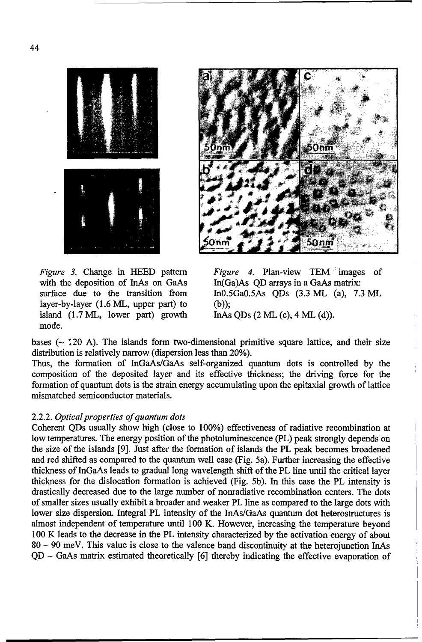



with the deposition of InAs on GaAs  $In(Ga)As$  OD arrays in a GaAs matrix: layer-by-layer  $(1.6 \text{ ML}, \text{ upper part})$  to  $(b)$ ; island  $(1.7 \text{ ML}, \text{ lower part})$  growth InAs QDs  $(2 \text{ ML}, \text{ (c)}, 4 \text{ ML}, \text{ (d)}).$ mode.

*Figure 3.* Change in HEED pattern *Figure* 4. Plan-view TEM images of surface due to the transition from In0.5Ga0.5As QDs (3.3 ML (a), 7.3 ML

bases  $\sim$  120 A). The islands form two-dimensional primitive square lattice, and their size distribution is relatively narrow (dispersion less than 20%).

Thus, the formation of InGaAs/GaAs self-organized quantum dots is controlled by the composition of the deposited layer and its effective thickness; the driving force for the formation of quantum dots is the strain energy accumulating upon the epitaxial growth of lattice mismatched semiconductor materials.

# 2.2.2. *Optical properties of quantum dots*

Coherent QDs usually show high (close to 100%) effectiveness of radiative recombination at low temperatures. The energy position of the photoluminescence (PL) peak strongly depends on the size of the islands [9]. Just after the formation of islands the PL peak becomes broadened and red shifted as compared to the quantum well case (Fig. 5a). Further increasing the effective thickness of InGaAs leads to gradual long wavelength shift of the PL line until the critical layer thickness for the dislocation formation is achieved (Fig. 5b). In this case the PL intensity is drastically decreased due to the large number of nonradiative recombination centers. The dots of smaller sizes usually exhibit a broader and weaker PL line as compared to the large dots with lower size dispersion. Integral PL intensity of the InAs/GaAs quantum dot heterostructures is almost independent of temperature until 100 K. However, increasing the temperature beyond 100 K leads to the decrease in the PL intensity characterized by the activation energy of about 80 - 90 meV. This value is close to the valence band discontinuity at the heterojunction InAs QD - GaAs matrix estimated theoretically [6] thereby indicating the effective evaporation of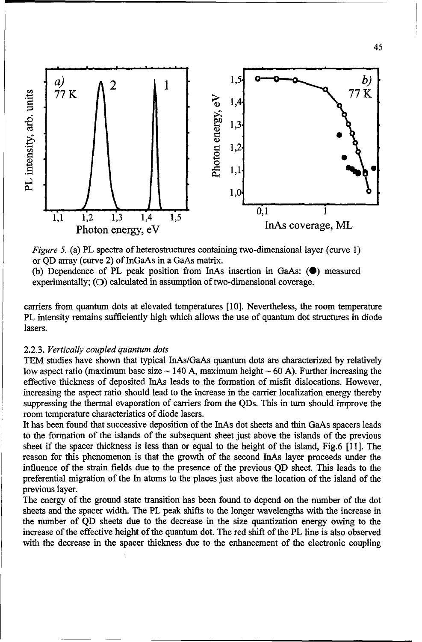

*Figure 5. (a)* PL spectra of heterostructures containing two-dimensional layer (curve 1) or QD array (curve 2) of InGaAs in a GaAs matrix.

(b) Dependence of PL peak position from InAs insertion in GaAs: **(0)** measured experimentally; **(O)** calculated in assumption of two-dimensional coverage.

carriers from quantum dots at elevated temperatures [10]. Nevertheless, the room temperature PL intensity remains sufficiently high which allows the use of quantum dot structures in diode lasers.

#### 2.2.3. *Vertically coupled quantum dots*

TEM studies have shown that typical InAs/GaAs quantum dots are characterized by relatively low aspect ratio (maximum base size **-** 140 A, maximum height **-** 60 A). Further increasing the effective thickness of deposited InAs leads to the formation of misfit dislocations. However, increasing the aspect ratio should lead to the increase in the carrier localization energy thereby suppressing the thermal evaporation of carriers from the QDs. This in turn should improve the room temperature characteristics of diode lasers.

It has been found that successive deposition of the InAs dot sheets and thin GaAs spacers leads to the formation of the islands of the subsequent sheet just above the islands of the previous sheet if the spacer thickness is less than or equal to the height of the island, Fig.6 [I I]. The reason for this phenomenon is that the growth of the second InAs layer proceeds under the influence of the strain fields due to the presence of the previous QD sheet. This leads to the preferential migration of the In atoms to the places just above the location of the island of the previous layer.

The energy of the ground state transition has been found to depend on the number of the dot sheets and the spacer width. The PL peak shifts to the longer wavelengths with the increase in the number of QD sheets due to the decrease in the size quantization energy owing to the increase of the effective height of the quantum dot. The red shift of the PL line is also observed with the decrease in the spacer thickness due to the enhancement of the electronic coupling

45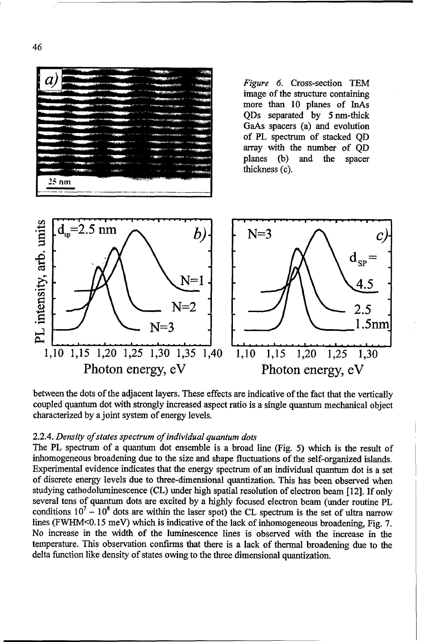

*Figure* 6. Cross-section TEM image of the structure containing more than 10 planes of InAs QDs separated by 5 nm-thick GaAs spacers (a) and evolution of PL spectrum of stacked QD array with the number of QD planes (b) and the spacer



between the dots of the adjacent layers. These effects are indicative of the fact that the vertically coupled quantum dot with strongly increased aspect ratio is a single quantum mechanical object characterized by a joint system of energy levels.

## 2.2.4. *Density of states spectrum of individual quantum dots*

The PL spectrum of a quantum dot ensemble is a broad line (Fig. 5) which is the result of inhomogeneous broadening due to the size and shape fluctuations of the self-organized islands. Experimental evidence indicates that the energy spectrum of an individual quantum dot is a set of discrete energy levels due to three-dimensional quantization. This has been observed when studying cathodoluminescence (CL) under high spatial resolution of electron beam [12]. If only several tens of quantum dots are excited by a highly focused electron beam (under routine PL conditions  $10^7 - 10^8$  dots are within the laser spot) the CL spectrum is the set of ultra narrow lines (FWHM<0.15 meV) which is indicative of the lack of inhomogeneous broadening, Fig. 7. No increase in the width of the luminescence lines is observed with the increase in the temperature. This observation confirms that there is a lack of thermal broadening due to the delta function like density of states owing to the three dimensional quantization.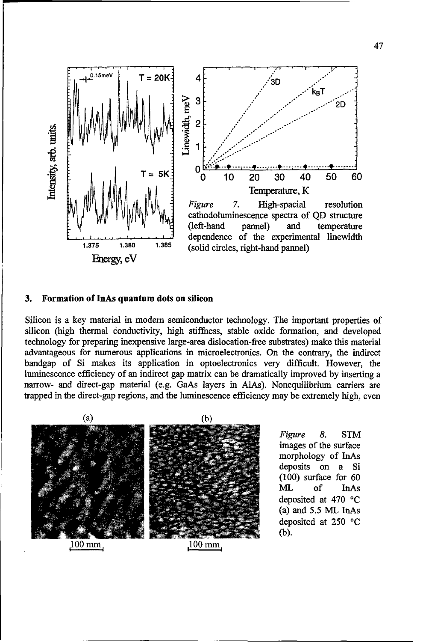

## 3. Formation of InAs quantum dots on silicon

Silicon is a key material in modem semiconductor technology. The important properties of silicon (high thermal conductivity, high stiffness, stable oxide formation, and developed technology for preparing inexpensive large-area dislocation-free substrates) make this material advantageous for numerous applications in microelectronics. On the contrary, the indirect bandgap of Si makes its application in optoelectronics very difficult. However, the luminescence efficiency of an indirect gap matrix can be dramatically improved by inserting a narrow- and direct-gap material (e.g. GaAs layers in AIAs). Nonequilibrium carriers are trapped in the direct-gap regions, and the luminescence efficiency may be extremely high, even



*Figure 8.* STM images of the surface morphology of InAs deposits on a Si (100) surface for 60 ML of InAs deposited at 470 °C (a) and 5.5 ML InAs deposited at 250 °C 47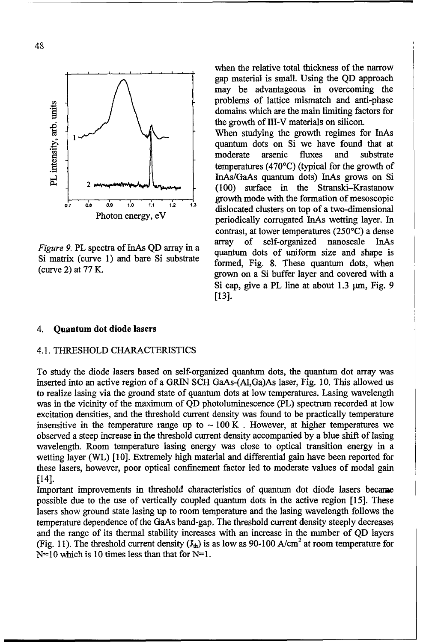

when the relative total thickness of the narrow gap material is small. Using the QD approach may be advantageous in overcoming the problems of lattice mismatch and anti-phase "domains which are the main limiting factors for the growth of IlI-V materials on silicon.

When studying the growth regimes for InAs quantum dots on Si we have found that at moderate arsenic fluxes and substrate moderate temperatures (470'C) (typical for the growth of InAs/GaAs quantum dots) InAs grows on Si **2** (100) surface in the Stranski-Krastanow  $\frac{1}{27}$   $\frac{1}{28}$   $\frac{1}{21}$   $\frac{1}{21}$   $\frac{1}{21}$   $\frac{1}{21}$  growth mode with the formation of mesoscopic dislocated clusters on top of a two-dimensional Photon energy, eV periodically corrugated InAs wetting layer. In contrast, at lower temperatures (250'C) a dense array of self-organized nanoscale InAs *Figure 9.* PL spectra of InAs QD array in a quantum dots of uniform size and shape is Si matrix (curve 1) and bare Si substrate fonmed, Fig. **8.** These quantum dots, when (curve 2) at 77 K. These states of the curve 2) at 77 K. These states and covered with a grown on a Si buffer layer and covered with a Si cap, give a PL line at about  $1.3 \mu m$ , Fig. 9 [13].

#### 4. Quantum dot diode lasers

# 4.1. THRESHOLD CHARACTERISTICS

To study the diode lasers based on self-organized quantum dots, the quantum dot array was inserted into an active region of a GRIN SCH GaAs-(A1,Ga)As laser, Fig. 10. This allowed us to realize lasing via the ground state of quantum dots at low temperatures. Lasing wavelength was in the vicinity of the maximum of QD photoluminescence (PL) spectrum recorded at low excitation densities, and the threshold current density was found to be practically temperature insensitive in the temperature range up to  $\sim 100 \text{ K}$ . However, at higher temperatures we observed a steep increase in the threshold current density accompanied by a blue shift of lasing wavelength. Room temperature lasing energy was close to optical transition energy in a wetting layer (WL) [10]. Extremely high material and differential gain have been reported for these lasers, however, poor optical confinement factor led to moderate values of modal gain [14].

Important improvements in threshold characteristics of quantum dot diode lasers became possible due to the use of vertically coupled quantum dots in the active region [15]. These lasers show ground state lasing up to room temperature and the lasing wavelength follows the temperature dependence of the GaAs band-gap. The threshold current density steeply decreases and the range of its thermal stability increases with an increase in the number of QD layers (Fig. 11). The threshold current density  $(J_{th})$  is as low as 90-100 A/cm<sup>2</sup> at room temperature for  $N=10$  which is 10 times less than that for  $N=1$ .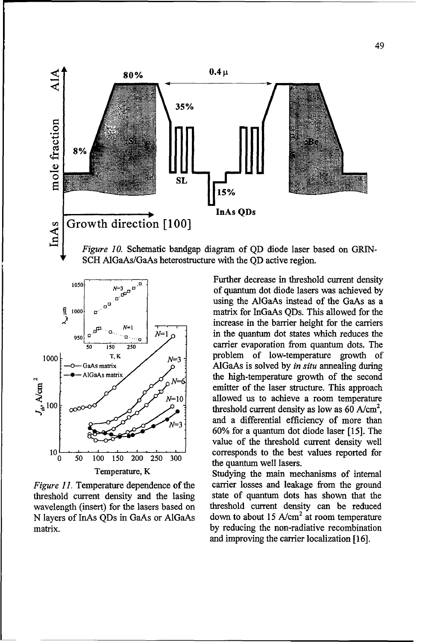



 $\begin{bmatrix} 1050 \\ 1050 \\ 0.97 \end{bmatrix}$  **Eurther decrease in threshold current density** of quantum dot diode lasers was achieved by of quantum dot diode lasers was achieved by using the AlGaAs instead of the GaAs as a matrix for InGaAs QDs. This allowed for the increase in the barrier height for the carriers<br>  $N=1$  o in the quantum dot states which reduces the **950 1 .. .. 3...** in the quantum dot states which reduces the <sup>150</sup> 250 **150** 250 **150 carrier evaporation from quantum dots. The -0--** GaAs matrix AlGaAs is solved by *in situ* annealing during AIGaAs matrix  $\bigcup_{\lambda \vdash c}$  **c** the high-temperature growth of the second emitter of the laser structure. This approach *N*=10 **allowed** us to achieve a room temperature and a differential efficiency of more than 60% for a quantum dot diode laser [15]. The value of the threshold current density well

*Figure 11.* Temperature dependence of the carrier losses and leakage from the ground threshold current density and the lasing state of quantum dots has shown that the wavelength (insert) for the lasers based on threshold current density can be reduced N layers of InAs QDs in GaAs or AlGaAs down to about 15 A/cm<sup>2</sup> at room temperature matrix. by reducing the non-radiative recombination and improving the carrier localization [16].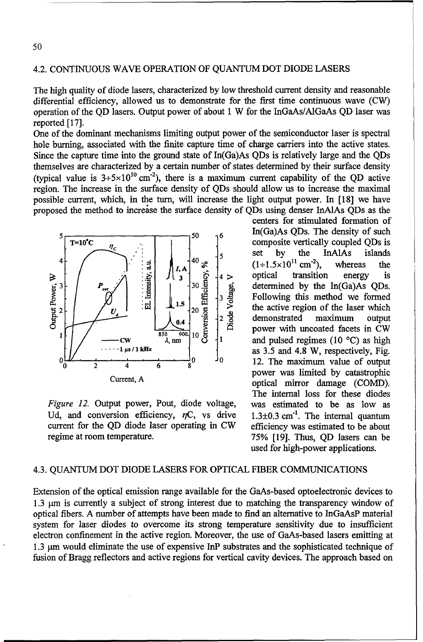#### 4.2. **CONTINUOUS** WAVE OPERATION OF **QUANTUM** DOT **DIODE LASERS**

The high quality of diode lasers, characterized **by** low threshold current density and reasonable differential efficiency, allowed us to demonstrate for the first time continuous wave (CW) operation of the **QD** lasers. Output power of about **1** W for the InGaAs/AIGaAs **QD** laser was reported **[17].**

One of the dominant mechanisms limiting output power of the semiconductor laser is spectral hole burning, associated with the finite capture time of charge carriers into the active states. Since the capture time into the ground state of In(Ga)As QDs is relatively large and the QDs themselves are characterized **by** a certain number of states determined **by** their surface density (typical value is  $3+5\times10^{10}$  cm<sup>-2</sup>), there is a maximum current capability of the QD active region. The increase in the surface density of QDs should allow us to increase the maximal possible current, which, in the turn, will increase the light output power. In **[18]** we have proposed the method to increase the surface density of QDs using denser InAlAs QDs as the



*Figure 12.* Output power, Pout, diode voltage, was estimated to be as low as Ud, and conversion efficiency,  $\eta C$ , vs drive  $1.3\pm0.3$  cm<sup>-1</sup>. The internal quantum current for the QD diode laser operating in CW efficiency was estimated to be about regime at room temperature. 75% [19]. Thus, QD lasers can be

centers for stimulated formation of **T=10c •C** I composite vertically coupled QDs is *5'"* set by the InAlAs islands  $\begin{bmatrix} \frac{1}{2} \\ \frac{1}{2} \\ \frac{1}{2} \\ \frac{1}{2} \end{bmatrix}$   $\begin{bmatrix} 1, A \\ 3 \end{bmatrix}^{40}$   $\begin{bmatrix} 8 \\ 1 \end{bmatrix}$   $\begin{bmatrix} 1+1.5\times10^{11} \text{ cm}^{-2} \\ 4 \end{bmatrix}$ , whereas the optical transition energy is determined by the In(Ga)As QDs.<br>  $\begin{bmatrix} 1.5 \\ 2$ determined by the In(Ga)As QDs.  $\begin{bmatrix} \mathbf{y} \\ \mathbf{y} \\ \mathbf{z} \end{bmatrix}$   $\begin{bmatrix} \mathbf{z} \\ \mathbf{z} \\ \mathbf{z} \end{bmatrix}$   $\begin{bmatrix} 1.5 \\ 2.0 \\ 2.0 \\ 2.0 \\ 2.0 \\ \mathbf{z} \end{bmatrix}$   $\begin{bmatrix} 3 & \mathbf{z} \\ 3 & \mathbf{z} \\ 2 & \mathbf{z} \\ 2 & \mathbf{z} \\ 2 & \mathbf{z} \end{bmatrix}$  Following this method we formed the laser **as 3.5 and 4.8 W, respectively, Fig.**  $\frac{4}{4}$  **6 8** 8 9 12. The maximum value of output power was limited by catastrophic Current, A optical mirror damage (COMD). The internal loss for these diodes used for high-power applications.

## 4.3. QUANTUM DOT DIODE LASERS FOR OPTICAL FIBER COMMUNICATIONS

Extension of the optical emission range available for the GaAs-based optoelectronic devices to 1.3 µm is currently a subject of strong interest due to matching the transparency window of optical fibers. A number of attempts have been made to find an alternative to InGaAsP material system for laser diodes to overcome its strong temperature sensitivity due to insufficient electron confinement in the active region. Moreover, the use of GaAs-based lasers emitting at 1.3 pm would eliminate the use of expensive InP substrates and the sophisticated technique of fusion of Bragg reflectors and active regions for vertical cavity devices. The approach based on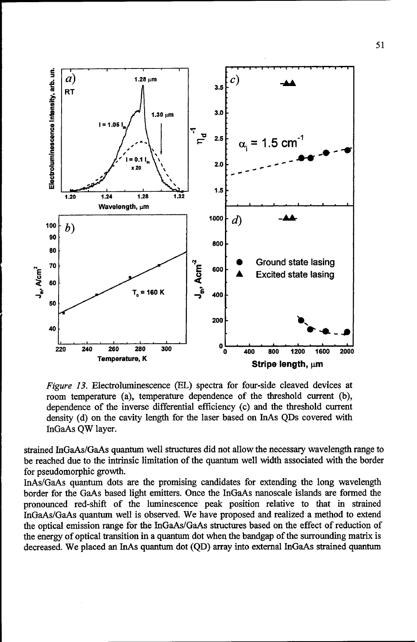

*Figure 13.* Electroluminescence (EL) spectra for four-side cleaved devices at room temperature (a), temperature dependence of the threshold current (b), dependence of the inverse differential efficiency (c) and the threshold current density (d) on the cavity length for the laser based on InAs QDs covered with InGaAs QW layer.

strained InGaAs/GaAs quantum well structures did not allow the necessary wavelength range to be reached due to the intrinsic limitation of the quantum well width associated with the border for pseudomorphic growth.

InAs/GaAs quantum dots are the promising candidates for extending the long wavelength border for the GaAs based light emitters. Once the InGaAs nanoscale islands are formed the pronounced red-shift of the luminescence peak position relative to that in strained InGaAs/GaAs quantum well is observed. We have proposed and realized a method to extend the optical emission range for the InGaAs/GaAs structures based on the effect of reduction of the energy of optical transition in a quantum dot when the bandgap of the surrounding matrix is decreased. We placed an InAs quantum dot (QD) array into external InGaAs strained quantum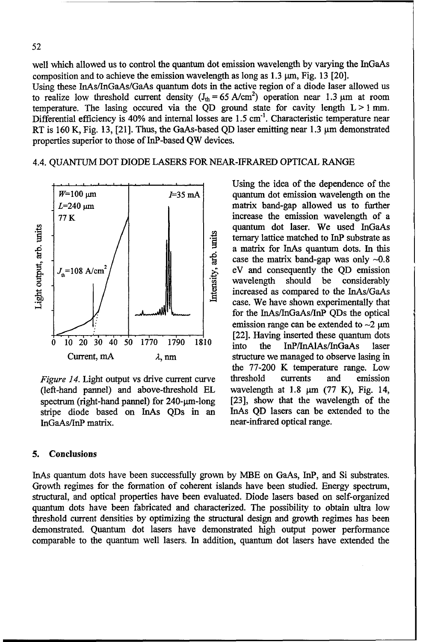well which allowed us to control the quantum dot emission wavelength by varying the InGaAs composition and to achieve the emission wavelength as long as  $1.3 \mu m$ , Fig. 13 [20].

Using these InAs/InGaAs/GaAs quantum dots in the active region of a diode laser allowed us to realize low threshold current density  $(J_{th} = 65 \text{ A/cm}^2)$  operation near 1.3 µm at room temperature. The lasing occured via the QD ground state for cavity length  $L > 1$  mm. Differential efficiency is 40% and internal losses are  $1.5 \text{ cm}^{-1}$ . Characteristic temperature near RT is 160 K, Fig. 13, [21]. Thus, the GaAs-based QD laser emitting near 1.3  $\mu$ m demonstrated properties superior to those of InP-based QW devices.

#### 4.4. QUANTUM DOT DIODE LASERS FOR NEAR-IFRARED OPTICAL RANGE



*Figure 14.* Light output vs drive current curve threshold currents and emission (left-hand pannel) and above-threshold EL wavelength at 1.8  $\mu$ m (77 K), Fig. 14, spectrum (right-hand pannel) for 240- $\mu$ m-long [23], show that the wavelength of the spectrum (right-hand pannel) for  $240$ - $\mu$ m-long [23], show that the wavelength of the stripe diode based on InAs ODs in an InAs OD lasers can be extended to the stripe diode based on InAs ODs in an InGaAs/InP matrix. near-infrared optical range.

Using the idea of the dependence of the quantum dot laser. We used InGaAs ternary lattice matched to InP substrate as a matrix for InAs quantum dots. In this Example 11 attice matched to InP substrate as<br>  $\frac{1}{2}$  a matrix for InAs quantum dots. In this<br>
case the matrix band-gap was only ~0.8<br>
eV and consequently the QD emission<br>
wavelength should be considerably<br>
increased a wavelength should be considerably increased as compared to the InAs/GaAs case. We have shown experimentally that for the InAs/InGaAs/InP QDs the optical emission range can be extended to  $\sim$ 2  $\mu$ m  $\begin{array}{c|c}\n\hline\n\text{1790} & 1810\n\end{array}$  [22]. Having inserted these quantum dots the 77-200 K temperature range. Low

#### 5. Conclusions

InAs quantum dots have been successfully grown by MBE on GaAs, InP, and Si substrates. Growth regimes for the formation of coherent islands have been studied. Energy spectrum, structural, and optical properties have been evaluated. Diode lasers based on self-organized quantum dots have been fabricated and characterized. The possibility to obtain ultra low threshold current densities by optimizing the structural design and growth regimes has been demonstrated. Quantum dot lasers have demonstrated high output power performance comparable to the quantum well lasers. In addition, quantum dot lasers have extended the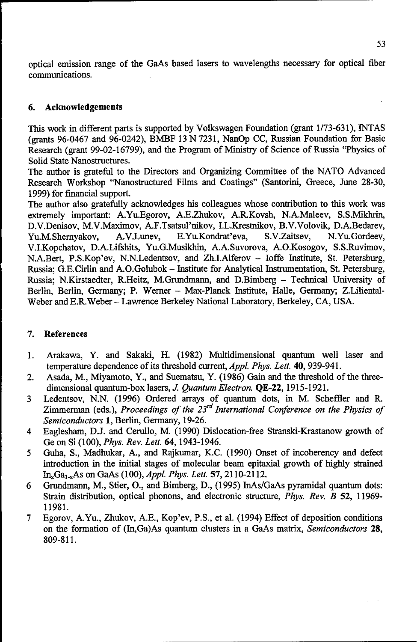optical emission range of the GaAs based lasers to wavelengths necessary for optical fiber communications.

# 6. Acknowledgements

This work in different parts is supported by Volkswagen Foundation (grant 1/73-631), INTAS (grants 96-0467 and 96-0242), BMBF 13 N 7231, NanOp CC, Russian Foundation for Basic Research (grant 99-02-16799), and the Program of Ministry of Science of Russia "Physics of Solid State Nanostructures.

The author is grateful to the Directors and Organizing Committee of the NATO Advanced Research Workshop "Nanostructured Films and Coatings" (Santorini, Greece, June 28-30, 1999) for financial support.

The author also gratefully acknowledges his colleagues whose contribution to this work was extremely important: A.Yu.Egorov, A.E.Zhukov, A.R.Kovsh, N.A.Maleev, S.S.Mikhrin, D.V.Denisov, M.V.Maximov, A.F.Tsatsul'nikov, I.L.Krestnikov, B.V.Volovik, D.A.Bedarev, Yu.M.Shernvakov. A.V.Lunev. E.Yu.Kondrat'eva, S.V.Zaitsev. N.Yu.Gordeev. E.Yu.Kondrat'eva, V.I.Kopchatov, D.A.Lifshits, Yu.G.Musikhin, A.A.Suvorova, A.O.Kosogov, S.S.Ruvimov, N.A.Bert, P.S.Kop'ev, N.N.Ledentsov, and Zh.I.Alferov - Ioffe Institute, St. Petersburg, Russia; G.E.Cirlin and A.O.Golubok - Institute for Analytical Instrumentation, St. Petersburg, Russia; N.Kirstaedter, R.Heitz, M.Grundmann, and D.Bimberg - Technical University of Berlin, Berlin, Germany; P. Werner - Max-Planck Institute, Halle, Germany; Z.Liliental-Weber and E.R.Weber - Lawrence Berkeley National Laboratory, Berkeley, CA, USA.

# 7. References

- 1. Arakawa, Y. and Sakaki, H. (1982) Multidimensional quantum well laser and temperature dependence of its threshold current, *Appl. Phys. Lett.* 40, 939-941.
- 2. Asada, M., Miyamoto, Y., and Suematsu, Y. (1986) Gain and the threshold of the threedimensional quantum-box lasers, *J. Quantum Electron*. **QE-22**, 1915-1921.
- 3 Ledentsov, N.N. (1996) Ordered arrays of quantum dots, in M. Scheffier and R. Zimmerman (eds.), *Proceedings of the <sup>2</sup> <sup>3</sup>***rd** *International Conference on the Physics of Semiconductors* 1, Berlin, Germany, 19-26.
- 4 Eaglesham, D.J. and Cerullo, M. (1990) Dislocation-free Stranski-Krastanow growth of Ge on Si (100), *Phys. Rev. Lett.* 64, 1943-1946.
- *5* Guha, S., Madhukar, A., and Rajkumar, K.C. (1990) Onset of incoherency and defect introduction in the initial stages of molecular beam epitaxial growth of highly strained In<sub>x</sub>Ga<sub>1</sub>, As on GaAs (100), *Appl. Phys. Lett.* **57**, 2110-2112.
- 6 Grundmann, M., Stier, **0.,** and Bimberg, D., (1995) InAs/GaAs pyramidal quantum dots: Strain distribution, optical phonons, and electronic structure, *Phys. Rev. B* 52, 11969- 11981.
- **7** Egorov, A.Yu., Zhukov, A.E., Kop'ev, P.S., et al. (1994) Effect of deposition conditions on the formation of (In,Ga)As quantum clusters in a GaAs matrix, *Semiconductors* 28, 809-811.